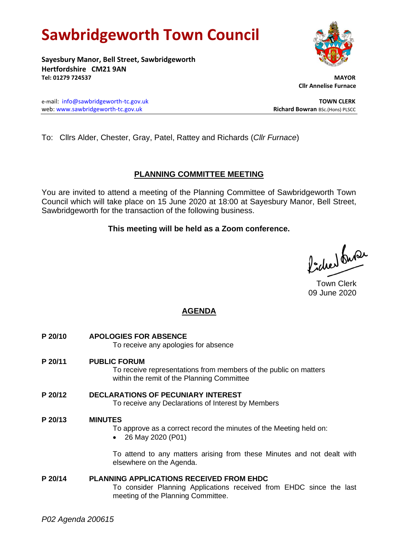# **Sawbridgeworth Town Council**

**Sayesbury Manor, Bell Street, Sawbridgeworth Hertfordshire CM21 9AN Tel: 01279 724537 MAYOR**

e-mail: [info@sawbridgeworth-tc.gov.uk](mailto:info@sawbridgeworth-tc.gov.uk) **TOWN CLERK** web: www.sawbridgeworth-tc.gov.uk<br> **Richard Bowran** BSc.(Hons) PLSCC

To: Cllrs Alder, Chester, Gray, Patel, Rattey and Richards (*Cllr Furnace*)

# **PLANNING COMMITTEE MEETING**

You are invited to attend a meeting of the Planning Committee of Sawbridgeworth Town Council which will take place on 15 June 2020 at 18:00 at Sayesbury Manor, Bell Street, Sawbridgeworth for the transaction of the following business.

## **This meeting will be held as a Zoom conference.**

Picked fuse

Town Clerk 09 June 2020

# **AGENDA**

- **P 20/10 APOLOGIES FOR ABSENCE** To receive any apologies for absence
- **P 20/11 PUBLIC FORUM**

To receive representations from members of the public on matters within the remit of the Planning Committee

**P 20/12 DECLARATIONS OF PECUNIARY INTEREST** To receive any Declarations of Interest by Members

### **P 20/13 MINUTES**

- To approve as a correct record the minutes of the Meeting held on:
- 26 May 2020 (P01)

To attend to any matters arising from these Minutes and not dealt with elsewhere on the Agenda.

**P 20/14 PLANNING APPLICATIONS RECEIVED FROM EHDC** To consider Planning Applications received from EHDC since the last meeting of the Planning Committee.

 **Cllr Annelise Furnace**

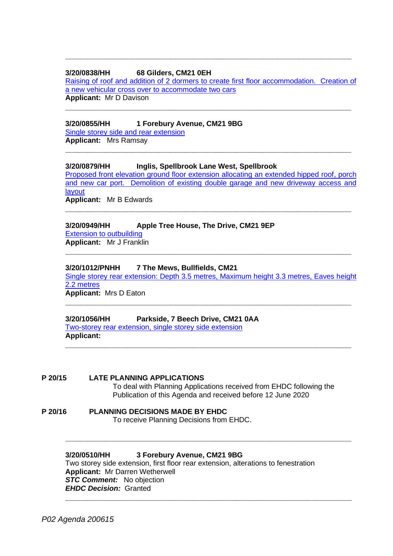#### **3/20/0838/HH 68 Gilders, CM21 0EH**

[Raising of roof and addition of 2 dormers to create first floor accommodation. Creation of](https://publicaccess.eastherts.gov.uk/online-applications/applicationDetails.do?activeTab=documents&keyVal=Q9N4W7GLGLO00)  [a new vehicular cross over to accommodate two cars](https://publicaccess.eastherts.gov.uk/online-applications/applicationDetails.do?activeTab=documents&keyVal=Q9N4W7GLGLO00) **Applicant:** Mr D Davison

**\_\_\_\_\_\_\_\_\_\_\_\_\_\_\_\_\_\_\_\_\_\_\_\_\_\_\_\_\_\_\_\_\_\_\_\_\_\_\_\_\_\_\_\_\_\_\_\_\_\_\_\_\_\_\_\_\_\_\_\_\_\_\_\_\_**

**\_\_\_\_\_\_\_\_\_\_\_\_\_\_\_\_\_\_\_\_\_\_\_\_\_\_\_\_\_\_\_\_\_\_\_\_\_\_\_\_\_\_\_\_\_\_\_\_\_\_\_\_\_\_\_\_\_\_\_\_\_\_\_\_\_**

**\_\_\_\_\_\_\_\_\_\_\_\_\_\_\_\_\_\_\_\_\_\_\_\_\_\_\_\_\_\_\_\_\_\_\_\_\_\_\_\_\_\_\_\_\_\_\_\_\_\_\_\_\_\_\_\_\_\_\_\_\_\_\_\_\_**

#### **3/20/0855/HH 1 Forebury Avenue, CM21 9BG**

[Single storey side and rear extension](https://publicaccess.eastherts.gov.uk/online-applications/applicationDetails.do?activeTab=documents&keyVal=Q9TB47GLGN300) **Applicant:** Mrs Ramsay

#### **3/20/0879/HH Inglis, Spellbrook Lane West, Spellbrook**

[Proposed front elevation ground floor extension allocating an extended hipped roof, porch](https://publicaccess.eastherts.gov.uk/online-applications/applicationDetails.do?activeTab=documents&keyVal=Q9YVM9GLGP000)  [and new car port. Demolition of existing double garage and new driveway access and](https://publicaccess.eastherts.gov.uk/online-applications/applicationDetails.do?activeTab=documents&keyVal=Q9YVM9GLGP000)  [layout](https://publicaccess.eastherts.gov.uk/online-applications/applicationDetails.do?activeTab=documents&keyVal=Q9YVM9GLGP000) **Applicant:** Mr B Edwards

**\_\_\_\_\_\_\_\_\_\_\_\_\_\_\_\_\_\_\_\_\_\_\_\_\_\_\_\_\_\_\_\_\_\_\_\_\_\_\_\_\_\_\_\_\_\_\_\_\_\_\_\_\_\_\_\_\_\_\_\_\_\_\_\_\_**

**\_\_\_\_\_\_\_\_\_\_\_\_\_\_\_\_\_\_\_\_\_\_\_\_\_\_\_\_\_\_\_\_\_\_\_\_\_\_\_\_\_\_\_\_\_\_\_\_\_\_\_\_\_\_\_\_\_\_\_\_\_\_\_\_\_**

# **3/20/0949/HH Apple Tree House, The Drive, CM21 9EP**

[Extension to outbuilding](https://publicaccess.eastherts.gov.uk/online-applications/applicationDetails.do?activeTab=documents&keyVal=QAMBIGGLGV600) **Applicant:** Mr J Franklin

#### **3/20/1012/PNHH 7 The Mews, Bullfields, CM21**

[Single storey rear extension: Depth 3.5 metres, Maximum height 3.3 metres, Eaves height](https://publicaccess.eastherts.gov.uk/online-applications/applicationDetails.do?activeTab=documents&keyVal=QB8S9AGL00X00)  [2.2 metres](https://publicaccess.eastherts.gov.uk/online-applications/applicationDetails.do?activeTab=documents&keyVal=QB8S9AGL00X00) **Applicant:** Mrs D Eaton

**\_\_\_\_\_\_\_\_\_\_\_\_\_\_\_\_\_\_\_\_\_\_\_\_\_\_\_\_\_\_\_\_\_\_\_\_\_\_\_\_\_\_\_\_\_\_\_\_\_\_\_\_\_\_\_\_\_\_\_\_\_\_\_\_\_**

**\_\_\_\_\_\_\_\_\_\_\_\_\_\_\_\_\_\_\_\_\_\_\_\_\_\_\_\_\_\_\_\_\_\_\_\_\_\_\_\_\_\_\_\_\_\_\_\_\_\_\_\_\_\_\_\_\_\_\_\_\_\_\_\_\_**

**\_\_\_\_\_\_\_\_\_\_\_\_\_\_\_\_\_\_\_\_\_\_\_\_\_\_\_\_\_\_\_\_\_\_\_\_\_\_\_\_\_\_\_\_\_\_\_\_\_\_\_\_\_\_\_\_\_\_\_\_\_\_\_\_\_**

### **3/20/1056/HH Parkside, 7 Beech Drive, CM21 0AA**

[Two-storey rear extension, single storey side extension](https://publicaccess.eastherts.gov.uk/online-applications/applicationDetails.do?activeTab=documents&keyVal=QBHSUQGLH3B00) **Applicant:** 

#### **P 20/15 LATE PLANNING APPLICATIONS**

To deal with Planning Applications received from EHDC following the Publication of this Agenda and received before 12 June 2020

# **P 20/16 PLANNING DECISIONS MADE BY EHDC**

To receive Planning Decisions from EHDC.

#### **3/20/0510/HH 3 Forebury Avenue, CM21 9BG**

Two storey side extension, first floor rear extension, alterations to fenestration **Applicant:** Mr Darren Wetherwell **STC Comment:** No objection *EHDC Decision:* Granted **\_\_\_\_\_\_\_\_\_\_\_\_\_\_\_\_\_\_\_\_\_\_\_\_\_\_\_\_\_\_\_\_\_\_\_\_\_\_\_\_\_\_\_\_\_\_\_\_\_\_\_\_\_\_\_\_\_\_\_\_\_\_\_\_\_**